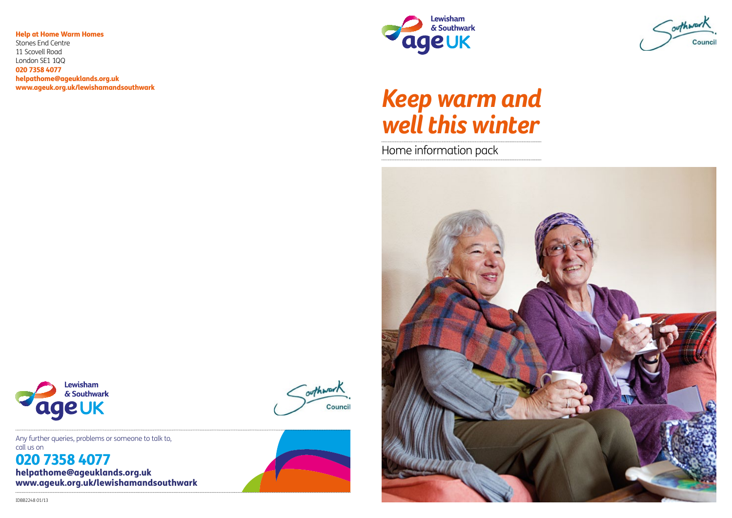# *Keep warm and well this winter*

Home information pack







Any further queries, problems or someone to talk to, call us on

# 020 7358 4077 helpathome@ageuklands.org.uk www.ageuk.org.uk/lewishamandsouthwark



outhwark

Council

Help at Home Warm Homes

Stones End Centre 11 Scovell Road London SE1 1QQ 020 7358 4077 helpathome@ageuklands.org.uk www.ageuk.org.uk/lewishamandsouthwark

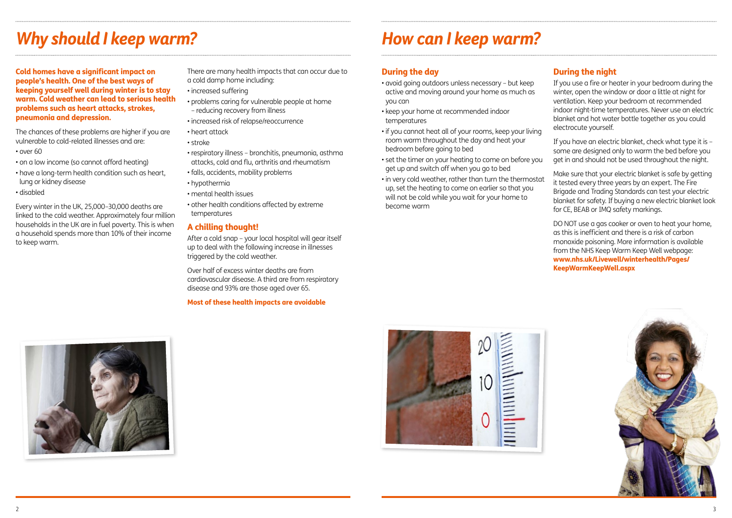Cold homes have a significant impact on people's health. One of the best ways of keeping yourself well during winter is to stay warm. Cold weather can lead to serious health problems such as heart attacks, strokes, pneumonia and depression.

The chances of these problems are higher if you are vulnerable to cold-related illnesses and are:

- over 60
- on a low income (so cannot afford heating)
- have a long-term health condition such as heart, lung or kidney disease
- disabled

Every winter in the UK, 25,000–30,000 deaths are linked to the cold weather. Approximately four million households in the UK are in fuel poverty. This is when a household spends more than 10% of their income to keep warm.

There are many health impacts that can occur due to a cold damp home including:

- increased suffering
- problems caring for vulnerable people at home – reducing recovery from illness
- increased risk of relapse/reoccurrence
- heart attack
- stroke
- respiratory illness bronchitis, pneumonia, asthma attacks, cold and flu, arthritis and rheumatism
- falls, accidents, mobility problems
- hypothermia
- mental health issues
- other health conditions affected by extreme temperatures

### A chilling thought!

After a cold snap – your local hospital will gear itself up to deal with the following increase in illnesses triggered by the cold weather.

Over half of excess winter deaths are from cardiovascular disease. A third are from respiratory disease and 93% are those aged over 65.

### Most of these health impacts are avoidable

# *Why should I keep warm?*

# During the day

- avoid going outdoors unless necessary but keep active and moving around your home as much as you can
- keep your home at recommended indoor temperatures
- if you cannot heat all of your rooms, keep your living room warm throughout the day and heat your bedroom before going to bed
- set the timer on your heating to come on before you get up and switch off when you go to bed
- in very cold weather, rather than turn the thermostat up, set the heating to come on earlier so that you will not be cold while you wait for your home to become warm





# During the night

If you use a fire or heater in your bedroom during the winter, open the window or door a little at night for ventilation. Keep your bedroom at recommended indoor night-time temperatures. Never use an electric blanket and hot water bottle together as you could electrocute yourself.

If you have an electric blanket, check what type it is – some are designed only to warm the bed before you get in and should not be used throughout the night.

Make sure that your electric blanket is safe by getting it tested every three years by an expert. The Fire Brigade and Trading Standards can test your electric blanket for safety. If buying a new electric blanket look for CE, BEAB or IMQ safety markings.

DO NOT use a gas cooker or oven to heat your home, as this is inefficient and there is a risk of carbon monoxide poisoning. More information is available from the NHS Keep Warm Keep Well webpage: www.nhs.uk/Livewell/winterhealth/Pages/ KeepWarmKeepWell.aspx



# *How can I keep warm?*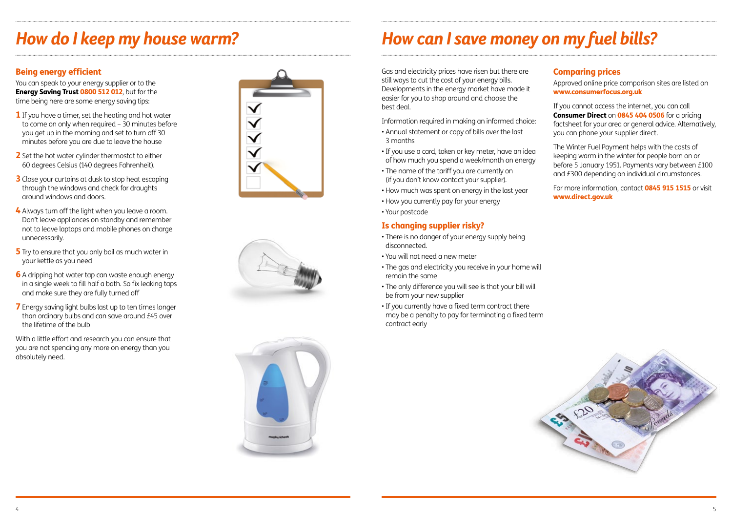# *How do I keep my house warm? How can I save money on my fuel bills?*

# Being energy efficient

You can speak to your energy supplier or to the **Energy Saving Trust 0800 512 012**, but for the time being here are some energy saving tips:

- **1** If you have a timer, set the heating and hot water to come on only when required – 30 minutes before you get up in the morning and set to turn off 30 minutes before you are due to leave the house
- 2 Set the hot water cylinder thermostat to either 60 degrees Celsius (140 degrees Fahrenheit).
- **3** Close your curtains at dusk to stop heat escaping through the windows and check for draughts around windows and doors.
- 4 Always turn off the light when you leave a room. Don't leave appliances on standby and remember not to leave laptops and mobile phones on charge unnecessarily.
- **5** Try to ensure that you only boil as much water in your kettle as you need
- 6 A dripping hot water tap can waste enough energy in a single week to fill half a bath. So fix leaking taps and make sure they are fully turned off
- **7** Energy saving light bulbs last up to ten times longer than ordinary bulbs and can save around £45 over the lifetime of the bulb

With a little effort and research you can ensure that you are not spending any more on energy than you absolutely need.







Gas and electricity prices have risen but there are still ways to cut the cost of your energy bills. Developments in the energy market have made it easier for you to shop around and choose the best deal.

> For more information, contact **0845 915 1515** or visit www.direct.gov.uk

Information required in making an informed choice:

- Annual statement or copy of bills over the last 3 months
- If you use a card, token or key meter, have an idea of how much you spend a week/month on energy
- The name of the tariff you are currently on (if you don't know contact your supplier).
- How much was spent on energy in the last year
- How you currently pay for your energy
- Your postcode

### Is changing supplier risky?

- There is no danger of your energy supply being disconnected.
- You will not need a new meter
- The gas and electricity you receive in your home will remain the same
- The only difference you will see is that your bill will be from your new supplier
- If you currently have a fixed term contract there may be a penalty to pay for terminating a fixed term contract early



# Comparing prices

Approved online price comparison sites are listed on www.consumerfocus.org.uk

If you cannot access the internet, you can call Consumer Direct on 0845 404 0506 for a pricing factsheet for your area or general advice. Alternatively, you can phone your supplier direct.

The Winter Fuel Payment helps with the costs of keeping warm in the winter for people born on or before 5 January 1951. Payments vary between £100 and £300 depending on individual circumstances.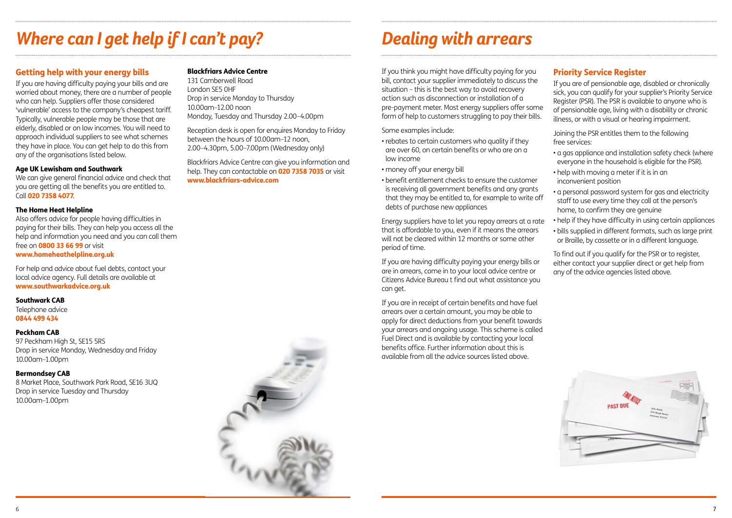# *Where can I get help if I can't pay? Dealing with arrears*

### Getting help with your energy bills

If you are having difficulty paying your bills and are worried about money, there are a number of people who can help. Suppliers offer those considered 'vulnerable' access to the company's cheapest tariff. Typically, vulnerable people may be those that are elderly, disabled or on low incomes. You will need to approach individual suppliers to see what schemes they have in place. You can get help to do this from any of the organisations listed below.

### Age UK Lewisham and Southwark

We can give general financial advice and check that you are getting all the benefits you are entitled to. Call 020 7358 4077.

#### The Home Heat Helpline

Also offers advice for people having difficulties in paying for their bills. They can help you access all the help and information you need and you can call them free on **0800 33 66 99** or visit www.homeheathelpline.org.uk

For help and advice about fuel debts, contact your local advice agency. Full details are available at www.southwarkadvice.org.uk

#### Southwark CAB

Telephone advice 0844 499 434

#### Peckham CAB

97 Peckham High St, SE15 5RS Drop in service Monday, Wednesday and Friday 10.00am–1.00pm

Bermondsey CAB 8 Market Place, Southwark Park Road, SE16 3UQ Drop in service Tuesday and Thursday 10.00am–1.00pm

### Blackfriars Advice Centre

131 Camberwell Road London SE5 0HF Drop in service Monday to Thursday 10.00am–12.00 noon Monday, Tuesday and Thursday 2.00–4.00pm

Reception desk is open for enquires Monday to Friday between the hours of 10.00am–12 noon, 2.00–4.30pm, 5.00–7.00pm (Wednesday only)

Blackfriars Advice Centre can give you information and help. They can contactable on **020 7358 7035** or visit www.blackfriars-advice.com



If you think you might have difficulty paying for you bill, contact your supplier immediately to discuss the situation – this is the best way to avoid recovery action such as disconnection or installation of a pre-payment meter. Most energy suppliers offer some form of help to customers struggling to pay their bills.

Some examples include:

- rebates to certain customers who quality if they are over 60, on certain benefits or who are on a low income
- money off your energy bill
- benefit entitlement checks to ensure the customer is receiving all government benefits and any grants that they may be entitled to, for example to write off debts of purchase new appliances

Energy suppliers have to let you repay arrears at a rate that is affordable to you, even if it means the arrears will not be cleared within 12 months or some other period of time.

If you are having difficulty paying your energy bills or are in arrears, come in to your local advice centre or Citizens Advice Bureau t find out what assistance you can get.

If you are in receipt of certain benefits and have fuel arrears over a certain amount, you may be able to apply for direct deductions from your benefit towards your arrears and ongoing usage. This scheme is called Fuel Direct and is available by contacting your local benefits office. Further information about this is available from all the advice sources listed above.

# Priority Service Register

If you are of pensionable age, disabled or chronically sick, you can qualify for your supplier's Priority Service Register (PSR). The PSR is available to anyone who is of pensionable age, living with a disability or chronic illness, or with a visual or hearing impairment.

Joining the PSR entitles them to the following free services:

- a gas appliance and installation safety check (where everyone in the household is eligible for the PSR).
- help with moving a meter if it is in an inconvenient position
- a personal password system for gas and electricity staff to use every time they call at the person's home, to confirm they are genuine
- help if they have difficulty in using certain appliances
- bills supplied in different formats, such as large print or Braille, by cassette or in a different language.

To find out if you qualify for the PSR or to register, either contact your supplier direct or get help from any of the advice agencies listed above.

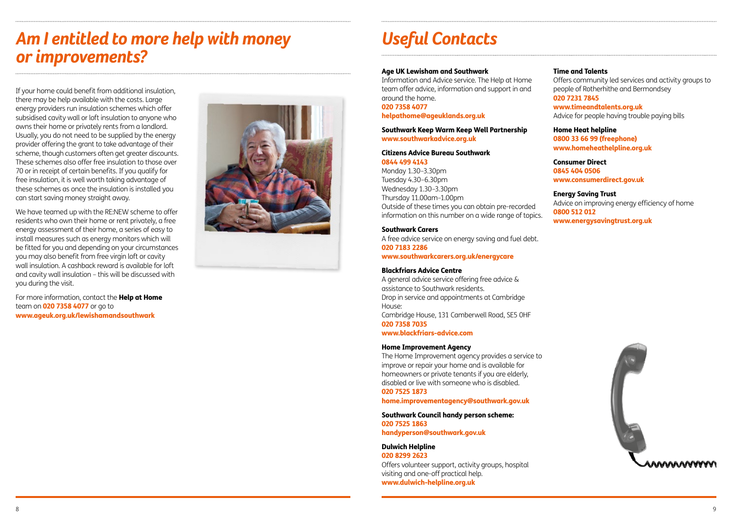If your home could benefit from additional insulation, there may be help available with the costs. Large energy providers run insulation schemes which offer subsidised cavity wall or loft insulation to anyone who owns their home or privately rents from a landlord. Usually, you do not need to be supplied by the energy provider offering the grant to take advantage of their scheme, though customers often get greater discounts. These schemes also offer free insulation to those over 70 or in receipt of certain benefits. If you qualify for free insulation, it is well worth taking advantage of these schemes as once the insulation is installed you can start saving money straight away.

For more information, contact the Help at Home team on **020 7358 4077** or go to www.ageuk.org.uk/lewishamandsouthwark



We have teamed up with the RE:NEW scheme to offer residents who own their home or rent privately, a free energy assessment of their home, a series of easy to install measures such as energy monitors which will be fitted for you and depending on your circumstances you may also benefit from free virgin loft or cavity wall insulation. A cashback reward is available for loft and cavity wall insulation – this will be discussed with you during the visit.

# *Am I entitled to more help with money or improvements?*

# *Useful Contacts*

### Age UK Lewisham and Southwark

Information and Advice service. The Help at Home team offer advice, information and support in and around the home. 020 7358 4077

### helpathome@ageuklands.org.uk

#### Southwark Keep Warm Keep Well Partnership www.southwarkadvice.org.uk

#### Citizens Advice Bureau Southwark 0844 499 4143

Monday 1.30–3.30pm Tuesday 4.30–6.30pm Wednesday 1.30–3.30pm Thursday 11.00am–1.00pm Outside of these times you can obtain pre-recorded information on this number on a wide range of topics.

#### Southwark Carers

A free advice service on energy saving and fuel debt. 020 7183 2286

www.southwarkcarers.org.uk/energycare

#### Blackfriars Advice Centre

A general advice service offering free advice & assistance to Southwark residents. Drop in service and appointments at Cambridge House: Cambridge House, 131 Camberwell Road, SE5 0HF

020 7358 7035

www.blackfriars-advice.com

#### Home Improvement Agency

The Home Improvement agency provides a service to improve or repair your home and is available for homeowners or private tenants if you are elderly, disabled or live with someone who is disabled. 020 7525 1873

home.improvementagency@southwark.gov.uk

Southwark Council handy person scheme: 020 7525 1863

handyperson@southwark.gov.uk

#### Dulwich Helpline 020 8299 2623

Offers volunteer support, activity groups, hospital visiting and one-off practical help. www.dulwich-helpline.org.uk

### Time and Talents

Offers community led services and activity groups to people of Rotherhithe and Bermondsey 020 7231 7845

www.timeandtalents.org.uk

Advice for people having trouble paying bills

Home Heat helpline 0800 33 66 99 (freephone) www.homeheathelpline.org.uk

Consumer Direct 0845 404 0506 www.consumerdirect.gov.uk

Energy Saving Trust Advice on improving energy efficiency of home 0800 512 012 www.energysavingtrust.org.uk